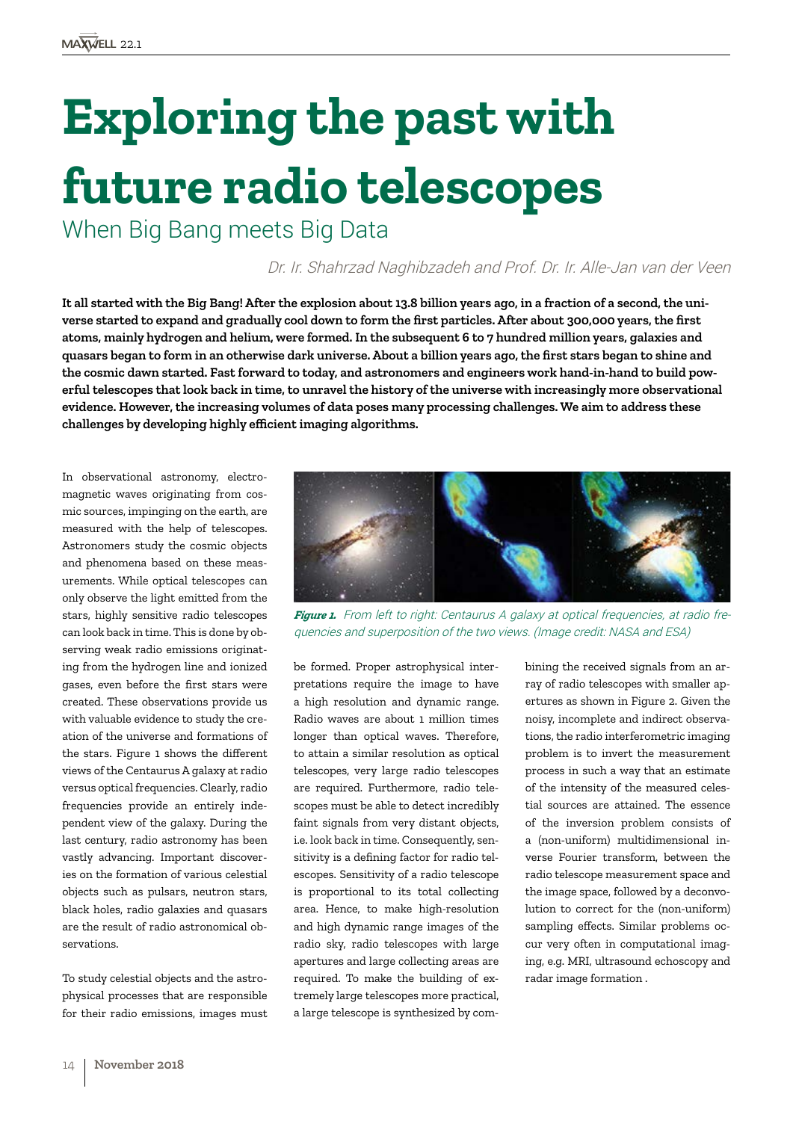# **Exploring the past with future radio telescopes**

When Big Bang meets Big Data

# Dr. Ir. Shahrzad Naghibzadeh and Prof. Dr. Ir. Alle-Jan van der Veen

**It all started with the Big Bang! After the explosion about 13.8 billion years ago, in a fraction of a second, the universe started to expand and gradually cool down to form the first particles. After about 300,000 years, the first atoms, mainly hydrogen and helium, were formed. In the subsequent 6 to 7 hundred million years, galaxies and quasars began to form in an otherwise dark universe. About a billion years ago, the first stars began to shine and the cosmic dawn started. Fast forward to today, and astronomers and engineers work hand-in-hand to build powerful telescopes that look back in time, to unravel the history of the universe with increasingly more observational evidence. However, the increasing volumes of data poses many processing challenges. We aim to address these challenges by developing highly efficient imaging algorithms.**

In observational astronomy, electromagnetic waves originating from cosmic sources, impinging on the earth, are measured with the help of telescopes. Astronomers study the cosmic objects and phenomena based on these measurements. While optical telescopes can only observe the light emitted from the stars, highly sensitive radio telescopes can look back in time. This is done by observing weak radio emissions originating from the hydrogen line and ionized gases, even before the first stars were created. These observations provide us with valuable evidence to study the creation of the universe and formations of the stars. Figure 1 shows the different views of the Centaurus A galaxy at radio versus optical frequencies. Clearly, radio frequencies provide an entirely independent view of the galaxy. During the last century, radio astronomy has been vastly advancing. Important discoveries on the formation of various celestial objects such as pulsars, neutron stars, black holes, radio galaxies and quasars are the result of radio astronomical observations.

To study celestial objects and the astrophysical processes that are responsible for their radio emissions, images must *Figure 1.* From left to right: Centaurus A galaxy at optical frequencies, at radio frequencies and superposition of the two views. (Image credit: NASA and ESA)

be formed. Proper astrophysical interpretations require the image to have a high resolution and dynamic range. Radio waves are about 1 million times longer than optical waves. Therefore, to attain a similar resolution as optical telescopes, very large radio telescopes are required. Furthermore, radio telescopes must be able to detect incredibly faint signals from very distant objects, i.e. look back in time. Consequently, sensitivity is a defining factor for radio telescopes. Sensitivity of a radio telescope is proportional to its total collecting area. Hence, to make high-resolution and high dynamic range images of the radio sky, radio telescopes with large apertures and large collecting areas are required. To make the building of extremely large telescopes more practical, a large telescope is synthesized by com-

bining the received signals from an array of radio telescopes with smaller apertures as shown in Figure 2. Given the noisy, incomplete and indirect observations, the radio interferometric imaging problem is to invert the measurement process in such a way that an estimate of the intensity of the measured celestial sources are attained. The essence of the inversion problem consists of a (non-uniform) multidimensional inverse Fourier transform, between the radio telescope measurement space and the image space, followed by a deconvolution to correct for the (non-uniform) sampling effects. Similar problems occur very often in computational imaging, e.g. MRI, ultrasound echoscopy and radar image formation .

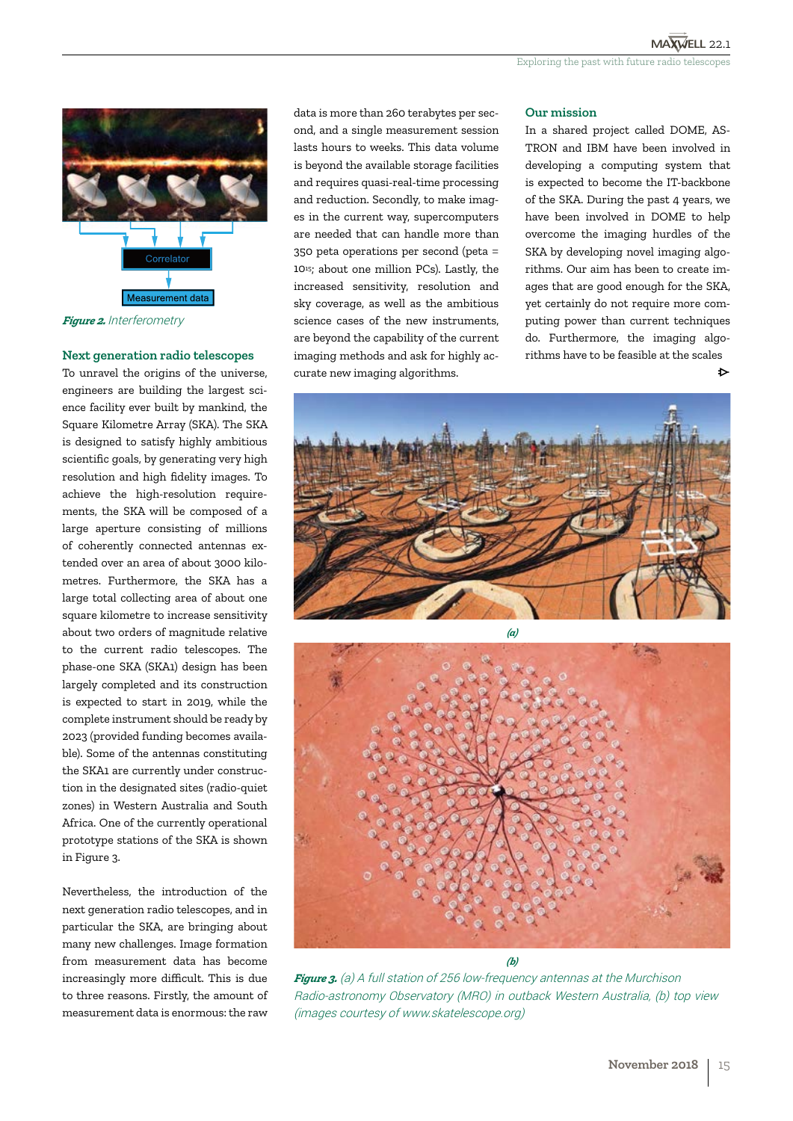

*Figure 2.* Interferometry

## **Next generation radio telescopes**

To unravel the origins of the universe, engineers are building the largest science facility ever built by mankind, the Square Kilometre Array (SKA). The SKA is designed to satisfy highly ambitious scientific goals, by generating very high resolution and high fidelity images. To achieve the high-resolution requirements, the SKA will be composed of a large aperture consisting of millions of coherently connected antennas extended over an area of about 3000 kilometres. Furthermore, the SKA has a large total collecting area of about one square kilometre to increase sensitivity about two orders of magnitude relative to the current radio telescopes. The phase-one SKA (SKA1) design has been largely completed and its construction is expected to start in 2019, while the complete instrument should be ready by 2023 (provided funding becomes available). Some of the antennas constituting the SKA1 are currently under construction in the designated sites (radio-quiet zones) in Western Australia and South Africa. One of the currently operational prototype stations of the SKA is shown in Figure 3.

Nevertheless, the introduction of the next generation radio telescopes, and in particular the SKA, are bringing about many new challenges. Image formation from measurement data has become increasingly more difficult. This is due to three reasons. Firstly, the amount of measurement data is enormous: the raw

data is more than 260 terabytes per second, and a single measurement session lasts hours to weeks. This data volume is beyond the available storage facilities and requires quasi-real-time processing and reduction. Secondly, to make images in the current way, supercomputers are needed that can handle more than 350 peta operations per second (peta = 1015; about one million PCs). Lastly, the increased sensitivity, resolution and sky coverage, as well as the ambitious science cases of the new instruments, are beyond the capability of the current imaging methods and ask for highly accurate new imaging algorithms.

### **Our mission**

In a shared project called DOME, AS-TRON and IBM have been involved in developing a computing system that is expected to become the IT-backbone of the SKA. During the past 4 years, we have been involved in DOME to help overcome the imaging hurdles of the SKA by developing novel imaging algorithms. Our aim has been to create images that are good enough for the SKA, yet certainly do not require more computing power than current techniques do. Furthermore, the imaging algorithms have to be feasible at the scales de antico de la constructiva de la constructiva de la constructiva de la constructiva de la constructiva de la





*Figure 3.* (a) A full station of 256 low-frequency antennas at the Murchison Radio-astronomy Observatory (MRO) in outback Western Australia, (b) top view (images courtesy of www.skatelescope.org)